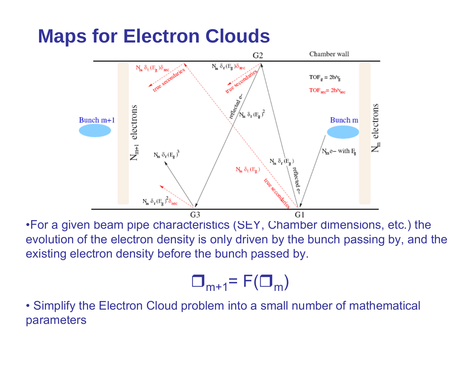## **Maps for Electron Clouds**



•For a given beam pipe characteristics (SEY, Chamber dimensions, etc.) the evolution of the electron density is only driven by the bunch passing by, and the existing electron density before the bunch passed by.

$$
\Box_{m+1} = F(\Box_m)
$$

• Simplify the Electron Cloud problem into a small number of mathematical parameters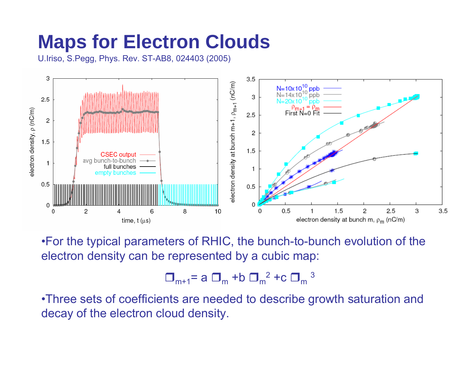# **Maps for Electron Clouds**

U.Iriso, S.Pegg, Phys. Rev. ST-AB8, 024403 (2005)



•For the typical parameters of RHIC, the bunch-to-bunch evolution of the electron density can be represented by a cubic map:

$$
\Box_{m+1} = a \Box_m + b \Box_m^2 + c \Box_m^3
$$

•Three sets of coefficients are needed to describe growth saturation and decay of the electron cloud density.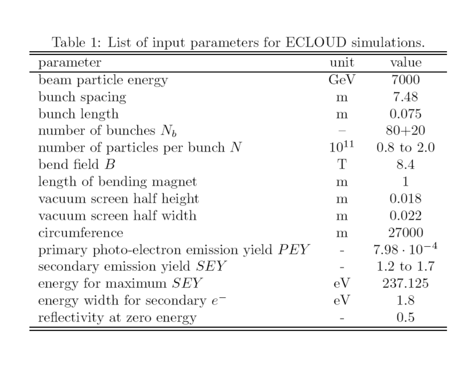| parameter                                 | unit      | value                 |
|-------------------------------------------|-----------|-----------------------|
| beam particle energy                      | GeV       | 7000                  |
| bunch spacing                             | ${\rm m}$ | 7.48                  |
| bunch length                              | ${\rm m}$ | 0.075                 |
| number of bunches $N_b$                   |           | $80 + 20$             |
| number of particles per bunch $N$         | $10^{11}$ | $0.8 \text{ to } 2.0$ |
| bend field $B$                            | Т         | 8.4                   |
| length of bending magnet                  | ${\rm m}$ | 1                     |
| vacuum screen half height                 | ${\rm m}$ | 0.018                 |
| vacuum screen half width                  | ${\rm m}$ | 0.022                 |
| circumference                             | ${\rm m}$ | 27000                 |
| primary photo-electron emission yield PEY |           | $7.98 \cdot 10^{-4}$  |
| secondary emission yield SEY              |           | $1.2 \text{ to } 1.7$ |
| energy for maximum $SEY$                  | eV        | 237.125               |
| energy width for secondary $e^-$          | eV        | 1.8                   |
| reflectivity at zero energy               |           | 0.5                   |

Table 1: List of input parameters for ECLOUD simulations.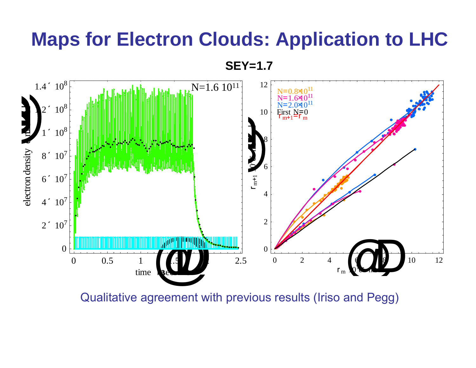#### **Maps for Electron Clouds: Application to LHC**

**SEY=1.7**



Qualitative agreement with previous results (Iriso and Pegg)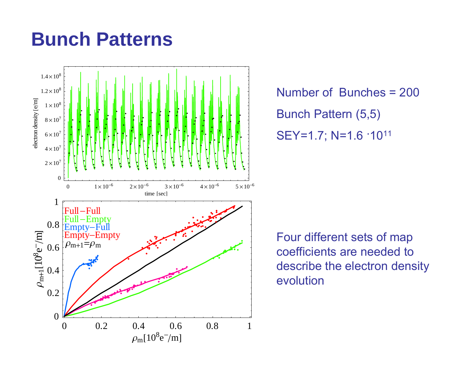#### **Bunch Patterns**



Number of Bunches = 200 Bunch Pattern (5,5) SEY=1.7; N=1.6 ·1011

Four different sets of map coefficients are needed to describe the electron density evolution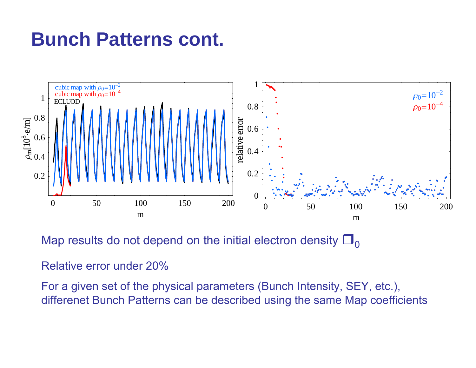## **Bunch Patterns cont.**



Map results do not depend on the initial electron density  $\square_{\Omega}$ 

Relative error under 20%

For a given set of the physical parameters (Bunch Intensity, SEY, etc.), differenet Bunch Patterns can be described using the same Map coefficients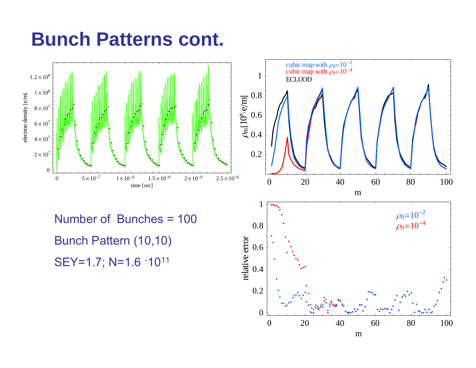## **Bunch Patterns cont.**

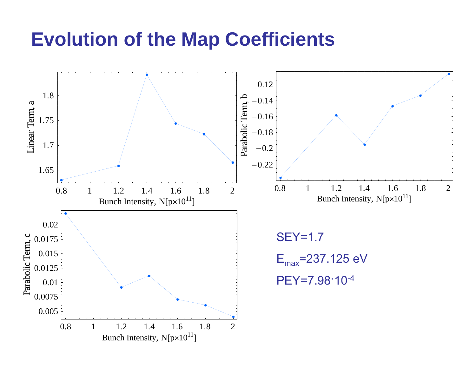#### **Evolution of the Map Coefficients**

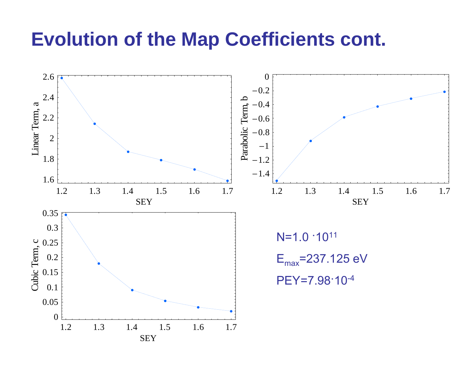#### **Evolution of the Map Coefficients cont.**